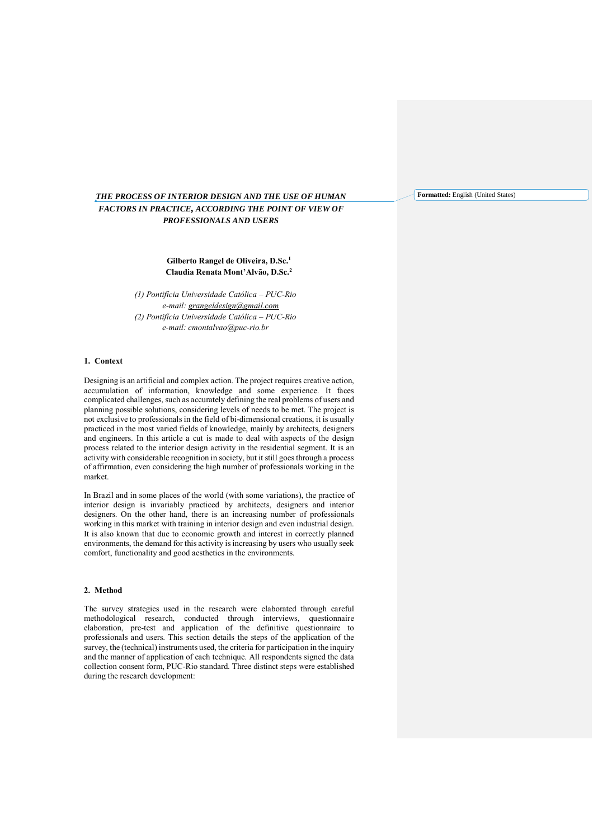# *THE PROCESS OF INTERIOR DESIGN AND THE USE OF HUMAN FACTORS IN PRACTICE, ACCORDING THE POINT OF VIEW OF PROFESSIONALS AND USERS*

**Gilberto Rangel de Oliveira, D.Sc.<sup>1</sup> Claudia Renata Mont'Alvão, D.Sc.<sup>2</sup>**

*(1) Pontifícia Universidade Católica – PUC-Rio e-mail: [grangeldesign@gmail.com](mailto:grangeldesign@gmail.com) (2) Pontifícia Universidade Católica – PUC-Rio e-mail: cmontalvao@puc-rio.br*

### **1. Context**

Designing is an artificial and complex action. The project requires creative action, accumulation of information, knowledge and some experience. It faces complicated challenges, such as accurately defining the real problems of users and planning possible solutions, considering levels of needs to be met. The project is not exclusive to professionals in the field of bi-dimensional creations, it is usually practiced in the most varied fields of knowledge, mainly by architects, designers and engineers. In this article a cut is made to deal with aspects of the design process related to the interior design activity in the residential segment. It is an activity with considerable recognition in society, but it still goes through a process of affirmation, even considering the high number of professionals working in the market.

In Brazil and in some places of the world (with some variations), the practice of interior design is invariably practiced by architects, designers and interior designers. On the other hand, there is an increasing number of professionals working in this market with training in interior design and even industrial design. It is also known that due to economic growth and interest in correctly planned environments, the demand for this activity is increasing by users who usually seek comfort, functionality and good aesthetics in the environments.

## **2. Method**

The survey strategies used in the research were elaborated through careful methodological research, conducted through interviews, questionnaire elaboration, pre-test and application of the definitive questionnaire to professionals and users. This section details the steps of the application of the survey, the (technical) instruments used, the criteria for participation in the inquiry and the manner of application of each technique. All respondents signed the data collection consent form, PUC-Rio standard. Three distinct steps were established during the research development:

**Formatted:** English (United States)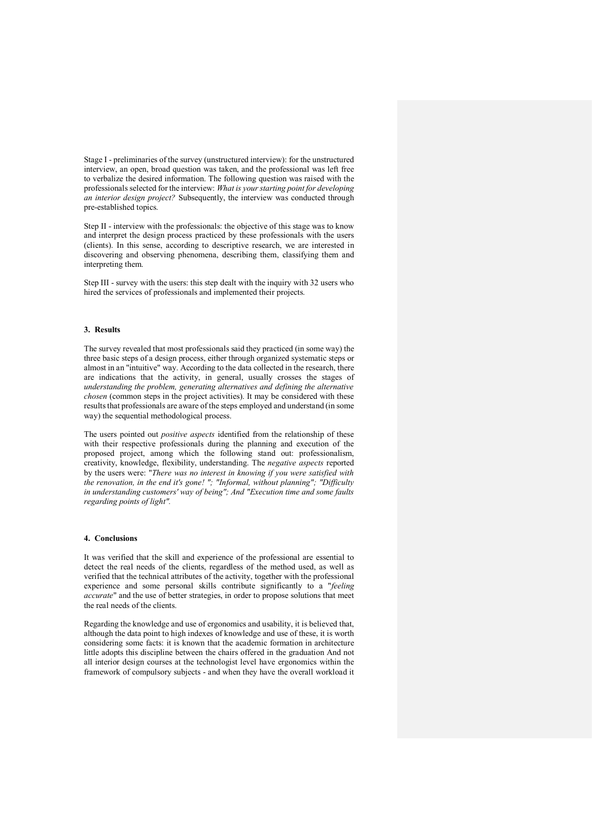Stage I - preliminaries of the survey (unstructured interview): for the unstructured interview, an open, broad question was taken, and the professional was left free to verbalize the desired information. The following question was raised with the professionals selected for the interview: *What is your starting point for developing an interior design project?* Subsequently, the interview was conducted through pre-established topics.

Step II - interview with the professionals: the objective of this stage was to know and interpret the design process practiced by these professionals with the users (clients). In this sense, according to descriptive research, we are interested in discovering and observing phenomena, describing them, classifying them and interpreting them.

Step III - survey with the users: this step dealt with the inquiry with 32 users who hired the services of professionals and implemented their projects.

#### **3. Results**

The survey revealed that most professionals said they practiced (in some way) the three basic steps of a design process, either through organized systematic steps or almost in an "intuitive" way. According to the data collected in the research, there are indications that the activity, in general, usually crosses the stages of *understanding the problem, generating alternatives and defining the alternative chosen* (common steps in the project activities). It may be considered with these results that professionals are aware of the steps employed and understand (in some way) the sequential methodological process.

The users pointed out *positive aspects* identified from the relationship of these with their respective professionals during the planning and execution of the proposed project, among which the following stand out: professionalism, creativity, knowledge, flexibility, understanding. The *negative aspects* reported by the users were: "*There was no interest in knowing if you were satisfied with the renovation, in the end it's gone! "; "Informal, without planning"; "Difficulty in understanding customers' way of being"; And "Execution time and some faults regarding points of light".*

#### **4. Conclusions**

It was verified that the skill and experience of the professional are essential to detect the real needs of the clients, regardless of the method used, as well as verified that the technical attributes of the activity, together with the professional experience and some personal skills contribute significantly to a "*feeling accurate*" and the use of better strategies, in order to propose solutions that meet the real needs of the clients.

Regarding the knowledge and use of ergonomics and usability, it is believed that, although the data point to high indexes of knowledge and use of these, it is worth considering some facts: it is known that the academic formation in architecture little adopts this discipline between the chairs offered in the graduation And not all interior design courses at the technologist level have ergonomics within the framework of compulsory subjects - and when they have the overall workload it